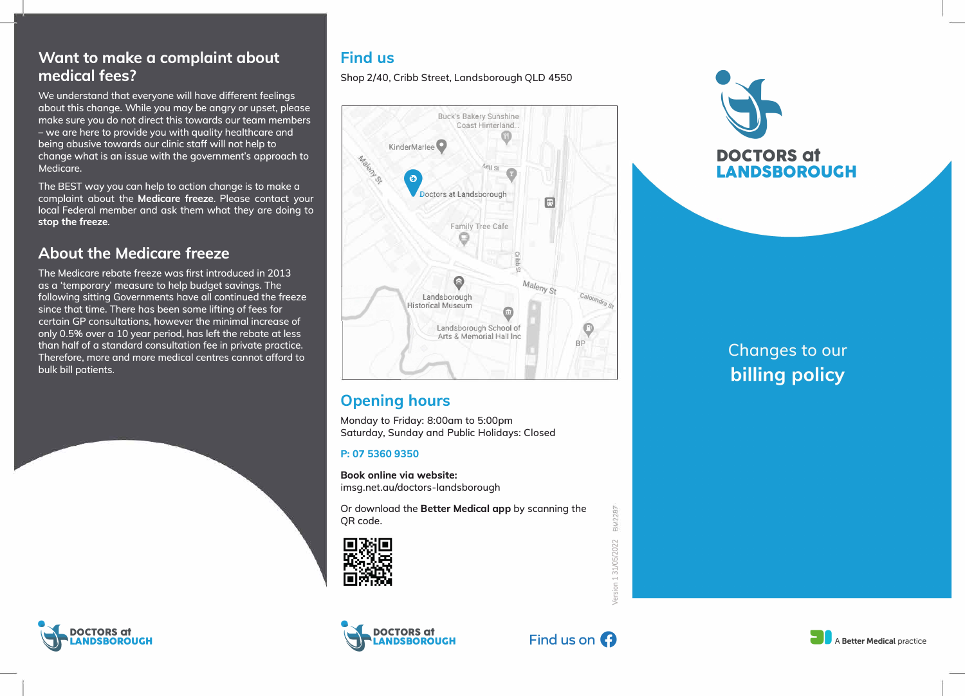## **Want to make a complaint about medical fees?**

We understand that everyone will have different feelings about this change. While you may be angry or upset, please make sure you do not direct this towards our team members - we are here to provide you with quality healthcare and being abusive towards our clinic staff will not help to change what is an issue with the government's approach to Medicare.

The BEST way you can help to action change is to make a complaint about the **Medicare freeze.** Please contact your local Federal member and ask them what they are doing to **stop the freeze.** 

## **About the Medicare freeze**

The Medicare rebate freeze was first introduced in 2013 as a 'temporary' measure to help budget savings. The following sitting Governments have all continued the freeze since that time. There has been some lifting of fees for certain GP consultations, however the minimal increase of only 0.5% over a 10 year period, has left the rebate at less than half of a standard consultation fee in private practice. Therefore, more and more medical centres cannot afford to bulk bill patients.





Shop 2/40, Cribb Street, Landsborough QLD 4550



# **Opening hours**

Monday to Friday: 8:00am to 5:00pm Saturday, Sunday and Public Holidays: Closed

#### **P: 07 5360 9350**

**Book online via website:**  imsg.net.au/doctors-landsborough

Or download the **Better Medical app** by scanning the QR code.







**EM2287** 

ion 1 31/05/2022



# Changes to our **billing policy**